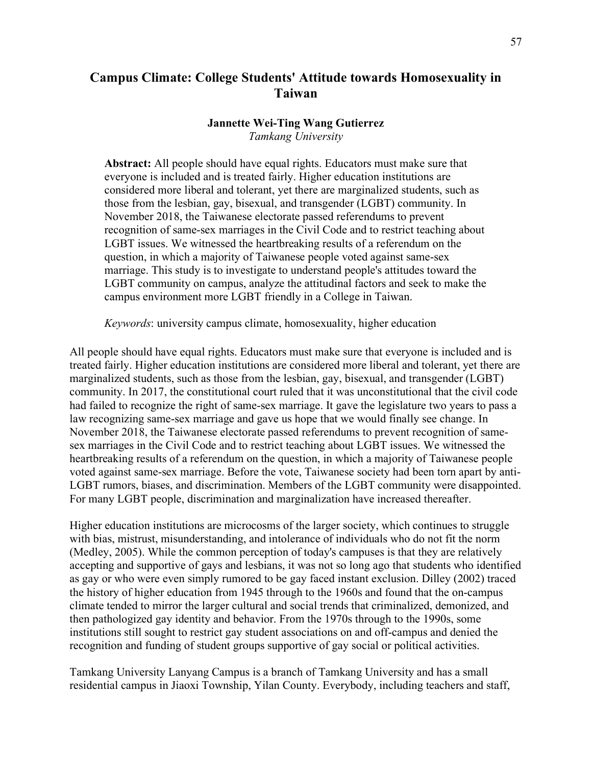# **Campus Climate: College Students' Attitude towards Homosexuality in Taiwan**

### **Jannette Wei-Ting Wang Gutierrez** *Tamkang University*

**Abstract:** All people should have equal rights. Educators must make sure that everyone is included and is treated fairly. Higher education institutions are considered more liberal and tolerant, yet there are marginalized students, such as those from the lesbian, gay, bisexual, and transgender (LGBT) community. In November 2018, the Taiwanese electorate passed referendums to prevent recognition of same-sex marriages in the Civil Code and to restrict teaching about LGBT issues. We witnessed the heartbreaking results of a referendum on the question, in which a majority of Taiwanese people voted against same-sex marriage. This study is to investigate to understand people's attitudes toward the LGBT community on campus, analyze the attitudinal factors and seek to make the campus environment more LGBT friendly in a College in Taiwan.

*Keywords*: university campus climate, homosexuality, higher education

All people should have equal rights. Educators must make sure that everyone is included and is treated fairly. Higher education institutions are considered more liberal and tolerant, yet there are marginalized students, such as those from the lesbian, gay, bisexual, and transgender (LGBT) community. In 2017, the constitutional court ruled that it was unconstitutional that the civil code had failed to recognize the right of same-sex marriage. It gave the legislature two years to pass a law recognizing same-sex marriage and gave us hope that we would finally see change. In November 2018, the Taiwanese electorate passed referendums to prevent recognition of samesex marriages in the Civil Code and to restrict teaching about LGBT issues. We witnessed the heartbreaking results of a referendum on the question, in which a majority of Taiwanese people voted against same-sex marriage. Before the vote, Taiwanese society had been torn apart by anti-LGBT rumors, biases, and discrimination. Members of the LGBT community were disappointed. For many LGBT people, discrimination and marginalization have increased thereafter.

Higher education institutions are microcosms of the larger society, which continues to struggle with bias, mistrust, misunderstanding, and intolerance of individuals who do not fit the norm (Medley, 2005). While the common perception of today's campuses is that they are relatively accepting and supportive of gays and lesbians, it was not so long ago that students who identified as gay or who were even simply rumored to be gay faced instant exclusion. Dilley (2002) traced the history of higher education from 1945 through to the 1960s and found that the on-campus climate tended to mirror the larger cultural and social trends that criminalized, demonized, and then pathologized gay identity and behavior. From the 1970s through to the 1990s, some institutions still sought to restrict gay student associations on and off-campus and denied the recognition and funding of student groups supportive of gay social or political activities.

Tamkang University Lanyang Campus is a branch of Tamkang University and has a small residential campus in Jiaoxi Township, Yilan County. Everybody, including teachers and staff,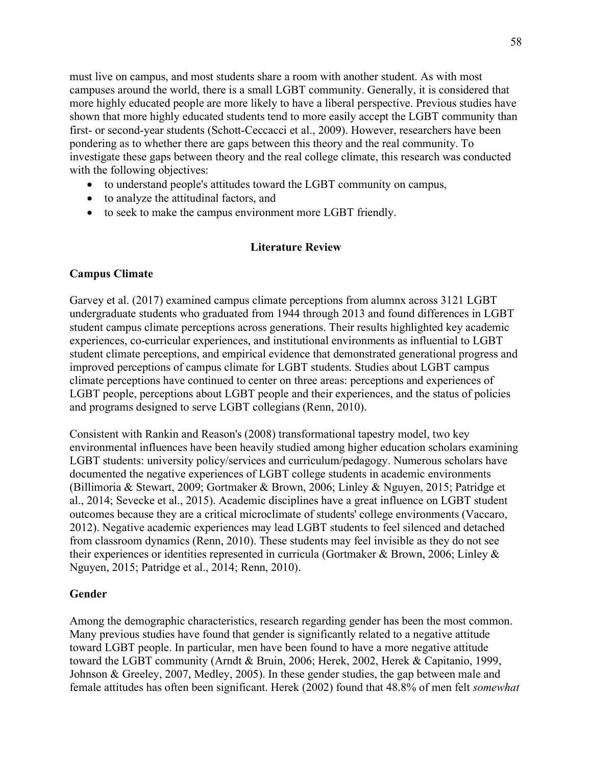must live on campus, and most students share a room with another student. As with most campuses around the world, there is a small LGBT community. Generally, it is considered that more highly educated people are more likely to have a liberal perspective. Previous studies have shown that more highly educated students tend to more easily accept the LGBT community than first- or second-year students (Schott-Ceccacci et al., 2009). However, researchers have been pondering as to whether there are gaps between this theory and the real community. To investigate these gaps between theory and the real college climate, this research was conducted with the following objectives:

- to understand people's attitudes toward the LGBT community on campus,
- to analyze the attitudinal factors, and
- to seek to make the campus environment more LGBT friendly.

## **Literature Review**

# **Campus Climate**

Garvey et al. (2017) examined campus climate perceptions from alumnx across 3121 LGBT undergraduate students who graduated from 1944 through 2013 and found differences in LGBT student campus climate perceptions across generations. Their results highlighted key academic experiences, co-curricular experiences, and institutional environments as influential to LGBT student climate perceptions, and empirical evidence that demonstrated generational progress and improved perceptions of campus climate for LGBT students. Studies about LGBT campus climate perceptions have continued to center on three areas: perceptions and experiences of LGBT people, perceptions about LGBT people and their experiences, and the status of policies and programs designed to serve LGBT collegians (Renn, 2010).

Consistent with Rankin and Reason's (2008) transformational tapestry model, two key environmental influences have been heavily studied among higher education scholars examining LGBT students: university policy/services and curriculum/pedagogy. Numerous scholars have documented the negative experiences of LGBT college students in academic environments (Billimoria & Stewart, 2009; Gortmaker & Brown, 2006; Linley & Nguyen, 2015; Patridge et al., 2014; Sevecke et al., 2015). Academic disciplines have a great influence on LGBT student outcomes because they are a critical microclimate of students' college environments (Vaccaro, 2012). Negative academic experiences may lead LGBT students to feel silenced and detached from classroom dynamics (Renn, 2010). These students may feel invisible as they do not see their experiences or identities represented in curricula (Gortmaker & Brown, 2006; Linley & Nguyen, 2015; Patridge et al., 2014; Renn, 2010).

## **Gender**

Among the demographic characteristics, research regarding gender has been the most common. Many previous studies have found that gender is significantly related to a negative attitude toward LGBT people. In particular, men have been found to have a more negative attitude toward the LGBT community (Arndt & Bruin, 2006; Herek, 2002, Herek & Capitanio, 1999, Johnson & Greeley, 2007, Medley, 2005). In these gender studies, the gap between male and female attitudes has often been significant. Herek (2002) found that 48.8% of men felt *somewhat*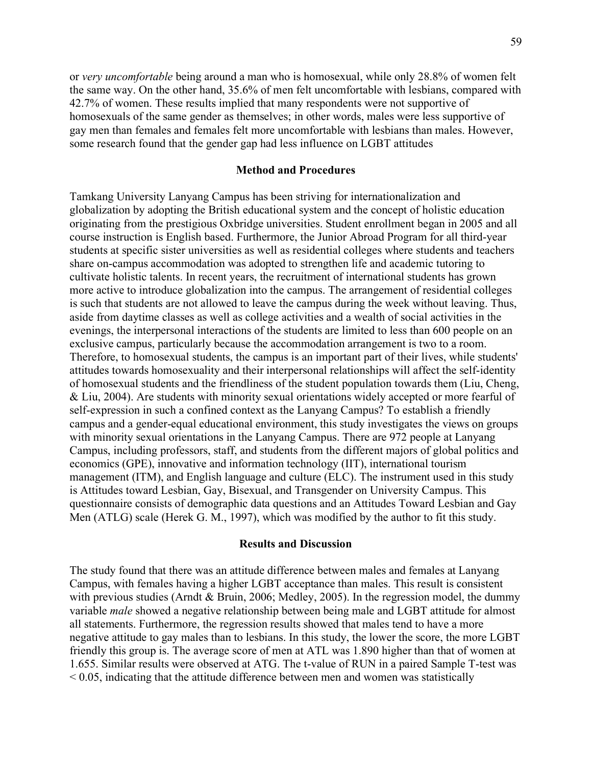or *very uncomfortable* being around a man who is homosexual, while only 28.8% of women felt the same way. On the other hand, 35.6% of men felt uncomfortable with lesbians, compared with 42.7% of women. These results implied that many respondents were not supportive of homosexuals of the same gender as themselves; in other words, males were less supportive of gay men than females and females felt more uncomfortable with lesbians than males. However, some research found that the gender gap had less influence on LGBT attitudes

### **Method and Procedures**

Tamkang University Lanyang Campus has been striving for internationalization and globalization by adopting the British educational system and the concept of holistic education originating from the prestigious Oxbridge universities. Student enrollment began in 2005 and all course instruction is English based. Furthermore, the Junior Abroad Program for all third-year students at specific sister universities as well as residential colleges where students and teachers share on-campus accommodation was adopted to strengthen life and academic tutoring to cultivate holistic talents. In recent years, the recruitment of international students has grown more active to introduce globalization into the campus. The arrangement of residential colleges is such that students are not allowed to leave the campus during the week without leaving. Thus, aside from daytime classes as well as college activities and a wealth of social activities in the evenings, the interpersonal interactions of the students are limited to less than 600 people on an exclusive campus, particularly because the accommodation arrangement is two to a room. Therefore, to homosexual students, the campus is an important part of their lives, while students' attitudes towards homosexuality and their interpersonal relationships will affect the self-identity of homosexual students and the friendliness of the student population towards them (Liu, Cheng, & Liu, 2004). Are students with minority sexual orientations widely accepted or more fearful of self-expression in such a confined context as the Lanyang Campus? To establish a friendly campus and a gender-equal educational environment, this study investigates the views on groups with minority sexual orientations in the Lanyang Campus. There are 972 people at Lanyang Campus, including professors, staff, and students from the different majors of global politics and economics (GPE), innovative and information technology (IIT), international tourism management (ITM), and English language and culture (ELC). The instrument used in this study is Attitudes toward Lesbian, Gay, Bisexual, and Transgender on University Campus. This questionnaire consists of demographic data questions and an Attitudes Toward Lesbian and Gay Men (ATLG) scale (Herek G. M., 1997), which was modified by the author to fit this study.

#### **Results and Discussion**

The study found that there was an attitude difference between males and females at Lanyang Campus, with females having a higher LGBT acceptance than males. This result is consistent with previous studies (Arndt & Bruin, 2006; Medley, 2005). In the regression model, the dummy variable *male* showed a negative relationship between being male and LGBT attitude for almost all statements. Furthermore, the regression results showed that males tend to have a more negative attitude to gay males than to lesbians. In this study, the lower the score, the more LGBT friendly this group is. The average score of men at ATL was 1.890 higher than that of women at 1.655. Similar results were observed at ATG. The t-value of RUN in a paired Sample T-test was  $< 0.05$ , indicating that the attitude difference between men and women was statistically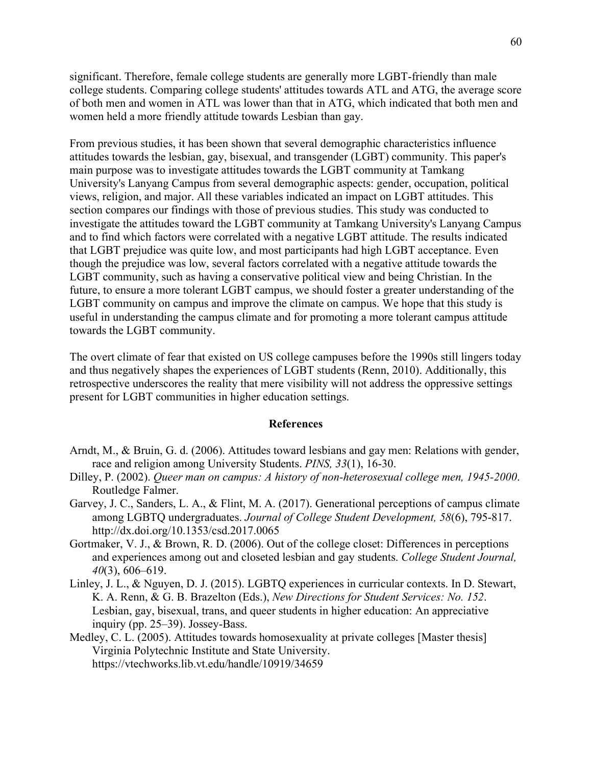significant. Therefore, female college students are generally more LGBT-friendly than male college students. Comparing college students' attitudes towards ATL and ATG, the average score of both men and women in ATL was lower than that in ATG, which indicated that both men and women held a more friendly attitude towards Lesbian than gay.

From previous studies, it has been shown that several demographic characteristics influence attitudes towards the lesbian, gay, bisexual, and transgender (LGBT) community. This paper's main purpose was to investigate attitudes towards the LGBT community at Tamkang University's Lanyang Campus from several demographic aspects: gender, occupation, political views, religion, and major. All these variables indicated an impact on LGBT attitudes. This section compares our findings with those of previous studies. This study was conducted to investigate the attitudes toward the LGBT community at Tamkang University's Lanyang Campus and to find which factors were correlated with a negative LGBT attitude. The results indicated that LGBT prejudice was quite low, and most participants had high LGBT acceptance. Even though the prejudice was low, several factors correlated with a negative attitude towards the LGBT community, such as having a conservative political view and being Christian. In the future, to ensure a more tolerant LGBT campus, we should foster a greater understanding of the LGBT community on campus and improve the climate on campus. We hope that this study is useful in understanding the campus climate and for promoting a more tolerant campus attitude towards the LGBT community.

The overt climate of fear that existed on US college campuses before the 1990s still lingers today and thus negatively shapes the experiences of LGBT students (Renn, 2010). Additionally, this retrospective underscores the reality that mere visibility will not address the oppressive settings present for LGBT communities in higher education settings.

#### **References**

- Arndt, M., & Bruin, G. d. (2006). Attitudes toward lesbians and gay men: Relations with gender, race and religion among University Students. *PINS, 33*(1), 16-30.
- Dilley, P. (2002). *Queer man on campus: A history of non-heterosexual college men, 1945-2000*. Routledge Falmer.
- Garvey, J. C., Sanders, L. A., & Flint, M. A. (2017). Generational perceptions of campus climate among LGBTQ undergraduates. *Journal of College Student Development, 58*(6), 795-817. http://dx.doi.org/10.1353/csd.2017.0065
- Gortmaker, V. J., & Brown, R. D. (2006). Out of the college closet: Differences in perceptions and experiences among out and closeted lesbian and gay students. *College Student Journal, 40*(3), 606–619.
- Linley, J. L., & Nguyen, D. J. (2015). LGBTQ experiences in curricular contexts. In D. Stewart, K. A. Renn, & G. B. Brazelton (Eds.), *New Directions for Student Services: No. 152*. Lesbian, gay, bisexual, trans, and queer students in higher education: An appreciative inquiry (pp. 25–39). Jossey-Bass.
- Medley, C. L. (2005). Attitudes towards homosexuality at private colleges [Master thesis] Virginia Polytechnic Institute and State University. https://vtechworks.lib.vt.edu/handle/10919/34659